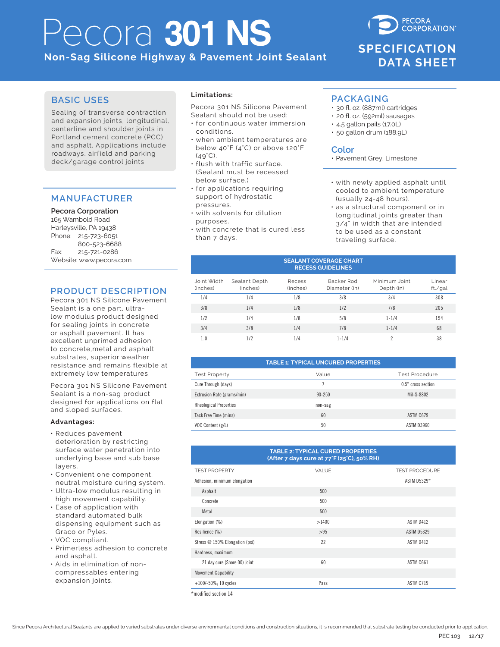# Pecora **301 NS**

**Non-Sag Silicone Highway & Pavement Joint Sealant**

## **CORPORATION SPECIFICATION DATA SHEET**

**PECORA** 

### **BASIC USES**

Sealing of transverse contraction and expansion joints, longitudinal, centerline and shoulder joints in Portland cement concrete (PCC) and asphalt. Applications include roadways, airfield and parking deck/garage control joints.

### **MANUFACTURER**

**Pecora Corporation** 165 Wambold Road Harleysville, PA 19438 Phone: 215-723-6051 800-523-6688 Fax: 215-721-0286 Website: www.pecora.com

### **PRODUCT DESCRIPTION**

Pecora 301 NS Silicone Pavement Sealant is a one part, ultralow modulus product designed for sealing joints in concrete or asphalt pavement. It has excellent unprimed adhesion to concrete,metal and asphalt substrates, superior weather resistance and remains flexible at extremely low temperatures.

Pecora 301 NS Silicone Pavement Sealant is a non-sag product designed for applications on flat and sloped surfaces.

### **Advantages:**

- Reduces pavement deterioration by restricting surface water penetration into underlying base and sub base layers.
- Convenient one component, neutral moisture curing system.
- Ultra-low modulus resulting in high movement capability.
- Ease of application with standard automated bulk dispensing equipment such as Graco or Pyles.
- VOC compliant.
- Primerless adhesion to concrete and asphalt.
- Aids in elimination of noncompressables entering expansion joints.

### **Limitations:**

Pecora 301 NS Silicone Pavement Sealant should not be used:

- for continuous water immersion conditions.
- when ambient temperatures are below 40°F (4°C) or above 120°F  $(AQ^{\circ}C)$
- flush with traffic surface. (Sealant must be recessed below surface.)
- for applications requiring support of hydrostatic pressures.
- with solvents for dilution purposes.
- with concrete that is cured less than 7 days.

### **PACKAGING**

- 30 fl. oz. (887ml) cartridges
- 20 fl. oz. (592ml) sausages
- 4.5 gallon pails (17.0L) • 50 gallon drum (188.9L)

### **Color**

• Pavement Grey, Limestone

- with newly applied asphalt until cooled to ambient temperature (usually 24-48 hours).
- as a structural component or in longitudinal joints greater than 3/4" in width that are intended to be used as a constant traveling surface.

| <b>SEALANT COVERAGE CHART</b><br><b>RECESS GUIDELINES</b> |                           |                    |                             |                             |                   |  |  |  |
|-----------------------------------------------------------|---------------------------|--------------------|-----------------------------|-----------------------------|-------------------|--|--|--|
| Joint Width<br>(inches)                                   | Sealant Depth<br>(inches) | Recess<br>(inches) | Backer Rod<br>Diameter (in) | Minimum Joint<br>Depth (in) | Linear<br>ft./gal |  |  |  |
| 1/4                                                       | 1/4                       | 1/8                | 3/8                         | 3/4                         | 308               |  |  |  |
| 3/8                                                       | 1/4                       | 1/8                | 1/2                         | 7/8                         | 205               |  |  |  |
| 1/2                                                       | 1/4                       | 1/8                | 5/8                         | $1 - 1/4$                   | 154               |  |  |  |
| 3/4                                                       | 3/8                       | 1/4                | 7/8                         | $1 - 1/4$                   | 68                |  |  |  |
| 1.0                                                       | 1/2                       | 1/4                | $1 - 1/4$                   | 2                           | 38                |  |  |  |

| <b>TABLE 1: TYPICAL UNCURED PROPERTIES</b> |            |                    |  |  |  |  |
|--------------------------------------------|------------|--------------------|--|--|--|--|
| <b>Test Property</b>                       | Value      | Test Procedure     |  |  |  |  |
| Cure Through (days)                        |            | 0.5" cross section |  |  |  |  |
| Extrusion Rate (grams/min)                 | $90 - 250$ | Mil-S-8802         |  |  |  |  |
| <b>Rheological Properties</b>              | non-sag    |                    |  |  |  |  |
| Tack Free Time (mins)                      | 60         | ASTM C679          |  |  |  |  |
| VOC Content (g/L)                          | 50         | <b>ASTM D3960</b>  |  |  |  |  |

#### **TABLE 2: TYPICAL CURED PROPERTIES (After 7 days cure at 77°F (25°C), 50% RH)**

| <b>TEST PROPERTY</b>           | <b>VALUE</b> | <b>TEST PROCEDURE</b> |  |  |  |
|--------------------------------|--------------|-----------------------|--|--|--|
| Adhesion, minimum elongation   |              | ASTM D5329*           |  |  |  |
| Asphalt                        | 500          |                       |  |  |  |
| Concrete                       | 500          |                       |  |  |  |
| Metal                          | 500          |                       |  |  |  |
| Elongation (%)                 | >1400        | ASTM D412             |  |  |  |
| Resilience (%)                 | >95          | <b>ASTM D5329</b>     |  |  |  |
| Stress @ 150% Elongation (psi) | 22           | ASTM D412             |  |  |  |
| Hardness, maximum              |              |                       |  |  |  |
| 21 day cure (Shore 00) Joint   | 60           | ASTM C661             |  |  |  |
| <b>Movement Capability</b>     |              |                       |  |  |  |
| $+100/-50\%$ ; 10 cycles       | Pass         | ASTM C719             |  |  |  |

\*modified section 14